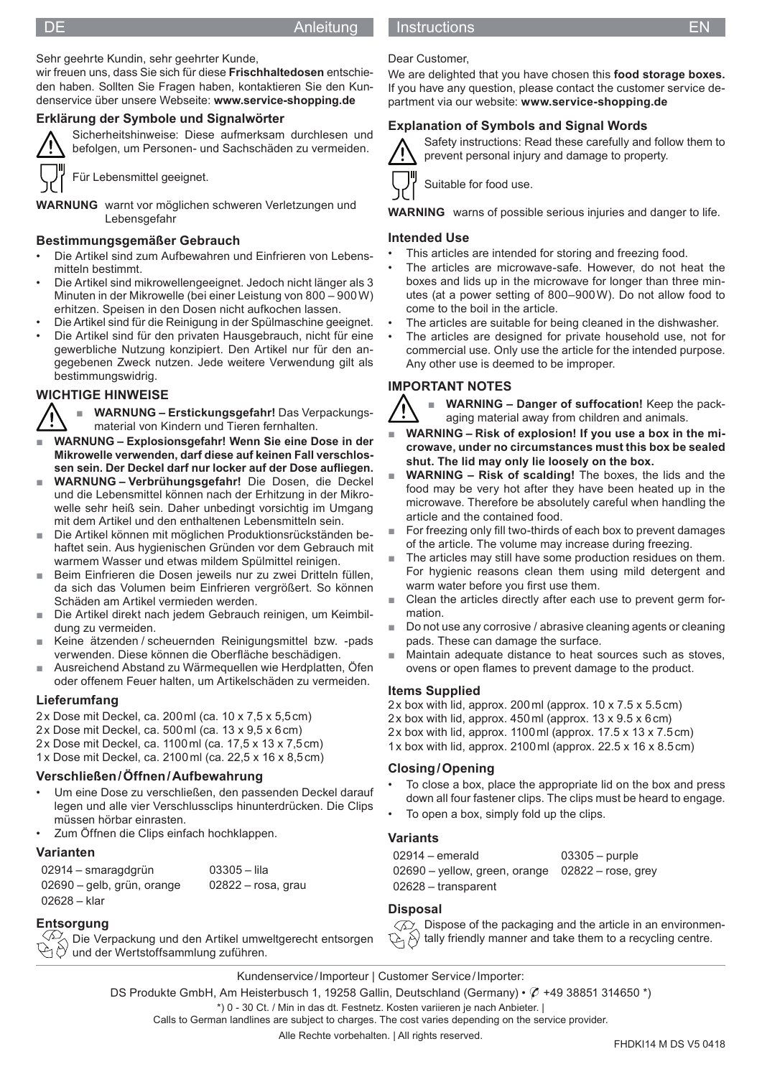#### DE Anleitung Instructions and the EN

# Sehr geehrte Kundin, sehr geehrter Kunde,

wir freuen uns, dass Sie sich für diese **Frischhaltedosen** entschieden haben. Sollten Sie Fragen haben, kontaktieren Sie den Kundenservice über unsere Webseite: **www.service-shopping.de**

Sicherheitshinweise: Diese aufmerksam durchlesen und

# **Erklärung der Symbole und Signalwörter**



befolgen, um Personen- und Sachschäden zu vermeiden.

Für Lebensmittel geeignet.

**WARNUNG** warnt vor möglichen schweren Verletzungen und Lebensgefahr

### **Bestimmungsgemäßer Gebrauch**

- Die Artikel sind zum Aufbewahren und Einfrieren von Lebensmitteln bestimmt.
- Die Artikel sind mikrowellengeeignet. Jedoch nicht länger als 3 Minuten in der Mikrowelle (bei einer Leistung von 800 – 900 W) erhitzen. Speisen in den Dosen nicht aufkochen lassen.
- Die Artikel sind für die Reinigung in der Spülmaschine geeignet.
- Die Artikel sind für den privaten Hausgebrauch, nicht für eine gewerbliche Nutzung konzipiert. Den Artikel nur für den angegebenen Zweck nutzen. Jede weitere Verwendung gilt als bestimmungswidrig.

# **WICHTIGE HINWEISE**



■ **WARNUNG – Erstickungsgefahr!** Das Verpackungsmaterial von Kindern und Tieren fernhalten.

- WARNUNG Explosionsgefahr! Wenn Sie eine Dose in der **Mikrowelle verwenden, darf diese auf keinen Fall verschlos**sen sein. Der Deckel darf nur locker auf der Dose aufliegen.
- **WARNUNG Verbrühungsgefahr!** Die Dosen, die Deckel und die Lebensmittel können nach der Erhitzung in der Mikrowelle sehr heiß sein. Daher unbedingt vorsichtig im Umgang mit dem Artikel und den enthaltenen Lebensmitteln sein.
- Die Artikel können mit möglichen Produktionsrückständen behaftet sein. Aus hygienischen Gründen vor dem Gebrauch mit warmem Wasser und etwas mildem Spülmittel reinigen.
- Beim Einfrieren die Dosen jeweils nur zu zwei Dritteln füllen, da sich das Volumen beim Einfrieren vergrößert. So können Schäden am Artikel vermieden werden.
- Die Artikel direkt nach jedem Gebrauch reinigen, um Keimbildung zu vermeiden.
- Keine ätzenden / scheuernden Reinigungsmittel bzw. -pads verwenden. Diese können die Oberfläche beschädigen.
- Ausreichend Abstand zu Wärmequellen wie Herdplatten, Öfen oder offenem Feuer halten, um Artikelschäden zu vermeiden.

### **Lieferumfang**

- 2 x Dose mit Deckel, ca. 200 ml (ca. 10 x 7,5 x 5,5 cm)
- 2 x Dose mit Deckel, ca. 500 ml (ca. 13 x 9,5 x 6 cm)
- 2 x Dose mit Deckel, ca. 1100 ml (ca. 17,5 x 13 x 7,5 cm)
- 1 x Dose mit Deckel, ca. 2100 ml (ca. 22,5 x 16 x 8,5 cm)

# **Verschließen / Öffnen / Aufbewahrung**

- Um eine Dose zu verschließen, den passenden Deckel darauf legen und alle vier Verschlussclips hinunterdrücken. Die Clips müssen hörbar einrasten.
- Zum Öffnen die Clips einfach hochklappen.

# **Varianten**

| 02914 – smaragdgrün        | $03305 -$ lila       |
|----------------------------|----------------------|
| 02690 – gelb, grün, orange | $02822 -$ rosa, grau |
| 02628 – klar               |                      |

# **Entsorgung**

 $\leftrightarrow$  Die Verpackung und den Artikel umweltgerecht entsorgen  $\leftrightarrow$   $\vee$  und der Wertstoffsammlung zuführen.

Dear Customer,

We are delighted that you have chosen this **food storage boxes.** If you have any question, please contact the customer service department via our website: **www.service-shopping.de**

# **Explanation of Symbols and Signal Words**

Suitable for food use.

Safety instructions: Read these carefully and follow them to prevent personal injury and damage to property.



**WARNING** warns of possible serious injuries and danger to life.

### **Intended Use**

- This articles are intended for storing and freezing food.
- The articles are microwave-safe. However, do not heat the boxes and lids up in the microwave for longer than three minutes (at a power setting of 800–900 W). Do not allow food to come to the boil in the article.
- The articles are suitable for being cleaned in the dishwasher.
- The articles are designed for private household use, not for commercial use. Only use the article for the intended purpose. Any other use is deemed to be improper.

# **IMPORTANT NOTES**



WARNING - Danger of suffocation! Keep the packaging material away from children and animals.

- WARNING Risk of explosion! If you use a box in the mi**crowave, under no circumstances must this box be sealed shut. The lid may only lie loosely on the box.**
- **WARNING Risk of scalding!** The boxes, the lids and the food may be very hot after they have been heated up in the microwave. Therefore be absolutely careful when handling the article and the contained food.
- For freezing only fill two-thirds of each box to prevent damages of the article. The volume may increase during freezing.
- The articles may still have some production residues on them. For hygienic reasons clean them using mild detergent and warm water before you first use them.
- Clean the articles directly after each use to prevent germ formation.
- Do not use any corrosive / abrasive cleaning agents or cleaning pads. These can damage the surface.
- Maintain adequate distance to heat sources such as stoves, ovens or open flames to prevent damage to the product.

### **Items Supplied**

- 2 x box with lid, approx. 200 ml (approx. 10 x 7.5 x 5.5 cm)
- 2 x box with lid, approx. 450 ml (approx. 13 x 9.5 x 6 cm)
- $2x$  box with lid, approx. 1100 ml (approx. 17.5 x 13 x 7.5 cm)
- 1 x box with lid, approx. 2100 ml (approx. 22.5 x 16 x 8.5 cm)

### **Closing / Opening**

- To close a box, place the appropriate lid on the box and press down all four fastener clips. The clips must be heard to engage.
- To open a box, simply fold up the clips.

# **Variants**

| $02914 - emerald$                                    | $03305 -$ purple |
|------------------------------------------------------|------------------|
| $02690 -$ yellow, green, orange $02822 -$ rose, grey |                  |
| 02628 – transparent                                  |                  |

### **Disposal**

 $\oslash$  Dispose of the packaging and the article in an environmentally friendly manner and take them to a recycling centre. AB

Kundenservice / Importeur | Customer Service / Importer:

DS Produkte GmbH, Am Heisterbusch 1, 19258 Gallin, Deutschland (Germany) • ✆ +49 38851 314650 \*)

\*) 0 - 30 Ct. / Min in das dt. Festnetz. Kosten variieren je nach Anbieter. | Calls to German landlines are subject to charges. The cost varies depending on the service provider.